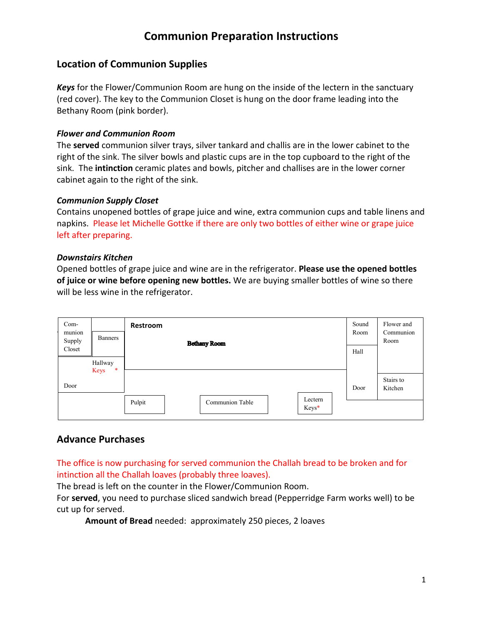## **Communion Preparation Instructions**

### **Location of Communion Supplies**

*Keys* for the Flower/Communion Room are hung on the inside of the lectern in the sanctuary (red cover). The key to the Communion Closet is hung on the door frame leading into the Bethany Room (pink border).

#### *Flower and Communion Room*

The **served** communion silver trays, silver tankard and challis are in the lower cabinet to the right of the sink. The silver bowls and plastic cups are in the top cupboard to the right of the sink. The **intinction** ceramic plates and bowls, pitcher and challises are in the lower corner cabinet again to the right of the sink.

#### *Communion Supply Closet*

Contains unopened bottles of grape juice and wine, extra communion cups and table linens and napkins. Please let Michelle Gottke if there are only two bottles of either wine or grape juice left after preparing.

#### *Downstairs Kitchen*

Opened bottles of grape juice and wine are in the refrigerator. **Please use the opened bottles of juice or wine before opening new bottles.** We are buying smaller bottles of wine so there will be less wine in the refrigerator.

| Com-<br>munion<br>Supply  | <b>Banners</b> | Restroom<br><b>Bethany Room</b>               | Sound<br>Room | Flower and<br>Communion<br>Room |
|---------------------------|----------------|-----------------------------------------------|---------------|---------------------------------|
| Closet                    |                |                                               | Hall          |                                 |
| Hallway<br>$\ast$<br>Keys |                |                                               |               |                                 |
| Door                      |                |                                               | Door          | Stairs to<br>Kitchen            |
|                           |                | Lectern<br>Communion Table<br>Pulpit<br>Keys* |               |                                 |

### **Advance Purchases**

The office is now purchasing for served communion the Challah bread to be broken and for intinction all the Challah loaves (probably three loaves).

The bread is left on the counter in the Flower/Communion Room.

For **served**, you need to purchase sliced sandwich bread (Pepperridge Farm works well) to be cut up for served.

**Amount of Bread** needed: approximately 250 pieces, 2 loaves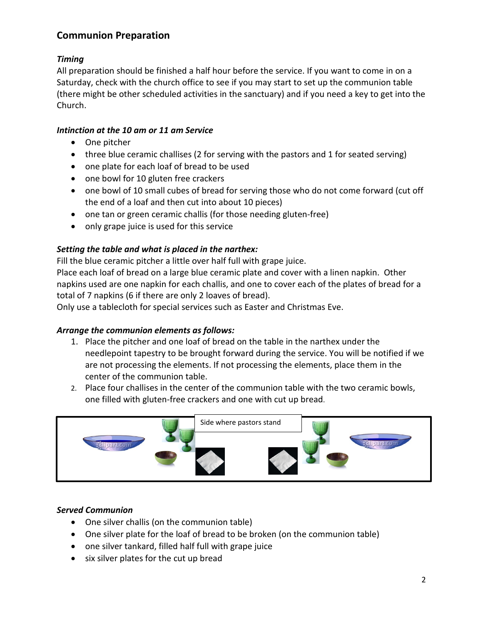### **Communion Preparation**

### *Timing*

All preparation should be finished a half hour before the service. If you want to come in on a Saturday, check with the church office to see if you may start to set up the communion table (there might be other scheduled activities in the sanctuary) and if you need a key to get into the Church.

#### *Intinction at the 10 am or 11 am Service*

- One pitcher
- three blue ceramic challises (2 for serving with the pastors and 1 for seated serving)
- one plate for each loaf of bread to be used
- one bowl for 10 gluten free crackers
- one bowl of 10 small cubes of bread for serving those who do not come forward (cut off the end of a loaf and then cut into about 10 pieces)
- one tan or green ceramic challis (for those needing gluten-free)
- only grape juice is used for this service

#### *Setting the table and what is placed in the narthex:*

Fill the blue ceramic pitcher a little over half full with grape juice.

Place each loaf of bread on a large blue ceramic plate and cover with a linen napkin. Other napkins used are one napkin for each challis, and one to cover each of the plates of bread for a total of 7 napkins (6 if there are only 2 loaves of bread).

Only use a tablecloth for special services such as Easter and Christmas Eve.

#### *Arrange the communion elements as follows:*

- 1. Place the pitcher and one loaf of bread on the table in the narthex under the needlepoint tapestry to be brought forward during the service. You will be notified if we are not processing the elements. If not processing the elements, place them in the center of the communion table.
- 2. Place four challises in the center of the communion table with the two ceramic bowls, one filled with gluten-free crackers and one with cut up bread.



#### *Served Communion*

- One silver challis (on the communion table)
- One silver plate for the loaf of bread to be broken (on the communion table)
- one silver tankard, filled half full with grape juice
- six silver plates for the cut up bread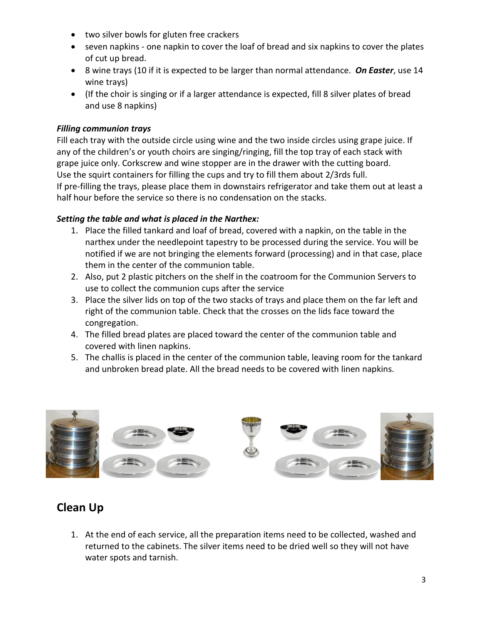- two silver bowls for gluten free crackers
- seven napkins one napkin to cover the loaf of bread and six napkins to cover the plates of cut up bread.
- 8 wine trays (10 if it is expected to be larger than normal attendance. *On Easter*, use 14 wine trays)
- (If the choir is singing or if a larger attendance is expected, fill 8 silver plates of bread and use 8 napkins)

#### *Filling communion trays*

Fill each tray with the outside circle using wine and the two inside circles using grape juice. If any of the children's or youth choirs are singing/ringing, fill the top tray of each stack with grape juice only. Corkscrew and wine stopper are in the drawer with the cutting board. Use the squirt containers for filling the cups and try to fill them about 2/3rds full. If pre-filling the trays, please place them in downstairs refrigerator and take them out at least a half hour before the service so there is no condensation on the stacks.

#### *Setting the table and what is placed in the Narthex:*

- 1. Place the filled tankard and loaf of bread, covered with a napkin, on the table in the narthex under the needlepoint tapestry to be processed during the service. You will be notified if we are not bringing the elements forward (processing) and in that case, place them in the center of the communion table.
- 2. Also, put 2 plastic pitchers on the shelf in the coatroom for the Communion Servers to use to collect the communion cups after the service
- 3. Place the silver lids on top of the two stacks of trays and place them on the far left and right of the communion table. Check that the crosses on the lids face toward the congregation.
- 4. The filled bread plates are placed toward the center of the communion table and covered with linen napkins.
- 5. The challis is placed in the center of the communion table, leaving room for the tankard and unbroken bread plate. All the bread needs to be covered with linen napkins.



## **Clean Up**

1. At the end of each service, all the preparation items need to be collected, washed and returned to the cabinets. The silver items need to be dried well so they will not have water spots and tarnish.